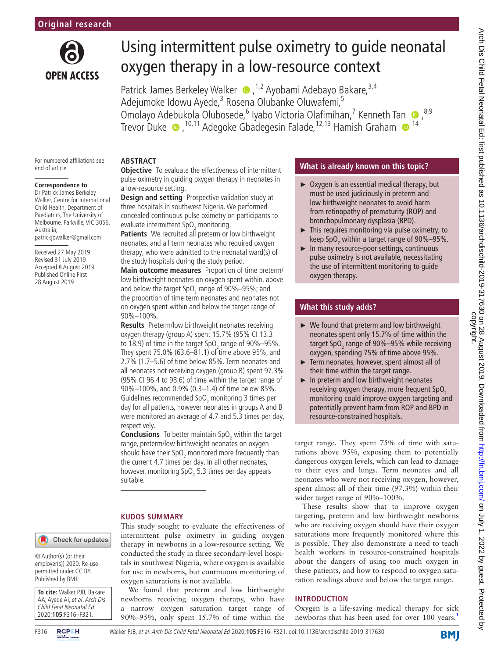

# Using intermittent pulse oximetry to guide neonatal oxygen therapy in a low-resource context

Patrick James Berkeley Walker  $\bullet$ ,<sup>1,2</sup> Ayobami Adebayo Bakare,<sup>3,4</sup> Adejumoke Idowu Ayede,<sup>3</sup> Rosena Olubanke Oluwafemi,<sup>5</sup> Omolayo Adebukola Olubosede,<sup>6</sup> Iyabo Victoria Olafimiha[n](http://orcid.org/0000-0003-2461-0463),<sup>7</sup> Kenneth Tan · <sup>8,9</sup> TrevorDuke  $\bullet$ , <sup>10,11</sup> Adegoke Gbadegesin Falade, <sup>12,13</sup> Hamish Graham  $\bullet$  <sup>14</sup>

## **Abstract**

For numbered affiliations see end of article.

#### **Correspondence to**

Dr Patrick James Berkeley Walker, Centre for International Child Health, Department of Paediatrics, The University of Melbourne, Parkville, VIC 3056, Australia; patrickjbwalker@gmail.com

Received 27 May 2019 Revised 31 July 2019 Accepted 8 August 2019 Published Online First 28 August 2019

**Objective** To evaluate the effectiveness of intermittent pulse oximetry in guiding oxygen therapy in neonates in a low-resource setting.

**Design and setting** Prospective validation study at three hospitals in southwest Nigeria. We performed concealed continuous pulse oximetry on participants to evaluate intermittent  $SpO<sub>2</sub>$  monitoring.

**Patients** We recruited all preterm or low birthweight neonates, and all term neonates who required oxygen therapy, who were admitted to the neonatal ward(s) of the study hospitals during the study period.

**Main outcome measures** Proportion of time preterm/ low birthweight neonates on oxygen spent within, above and below the target SpO<sub>2</sub> range of 90%–95%; and the proportion of time term neonates and neonates not on oxygen spent within and below the target range of 90%–100%.

**Results** Preterm/low birthweight neonates receiving oxygen therapy (group A) spent 15.7% (95% CI 13.3 to 18.9) of time in the target SpO<sub>2</sub> range of 90%–95%. They spent 75.0% (63.6–81.1) of time above 95%, and 2.7% (1.7–5.6) of time below 85%. Term neonates and all neonates not receiving oxygen (group B) spent 97.3% (95% CI 96.4 to 98.6) of time within the target range of 90%–100%, and 0.9% (0.3–1.4) of time below 85%. Guidelines recommended  $SpO<sub>2</sub>$  monitoring 3 times per day for all patients, however neonates in groups A and B were monitored an average of 4.7 and 5.3 times per day, respectively.

**Conclusions** To better maintain SpO<sub>2</sub> within the target range, preterm/low birthweight neonates on oxygen should have their SpO<sub>2</sub> monitored more frequently than the current 4.7 times per day. In all other neonates, however, monitoring SpO<sub>2</sub> 5.3 times per day appears suitable.

#### **Kudos summary**

Check for updates

© Author(s) (or their employer(s)) 2020. Re-use permitted under CC BY. Published by BMJ.



This study sought to evaluate the effectiveness of intermittent pulse oximetry in guiding oxygen therapy in newborns in a low-resource setting. We conducted the study in three secondary-level hospitals in southwest Nigeria, where oxygen is available for use in newborns, but continuous monitoring of oxygen saturations is not available.

We found that preterm and low birthweight newborns receiving oxygen therapy, who have a narrow oxygen saturation target range of 90%–95%, only spent 15.7% of time within the

### **What is already known on this topic?**

- ► Oxygen is an essential medical therapy, but must be used judiciously in preterm and low birthweight neonates to avoid harm from retinopathy of prematurity (ROP) and bronchopulmonary dysplasia (BPD).
- $\blacktriangleright$  This requires monitoring via pulse oximetry, to keep SpO<sub>2</sub> within a target range of 90%–95%.
- ► In many resource-poor settings, continuous pulse oximetry is not available, necessitating the use of intermittent monitoring to guide oxygen therapy.

# **What this study adds?**

- ► We found that preterm and low birthweight neonates spent only 15.7% of time within the target SpO<sub>2</sub> range of 90%–95% while receiving oxygen, spending 75% of time above 95%.
- ► Term neonates, however, spent almost all of their time within the target range.
- ► In preterm and low birthweight neonates receiving oxygen therapy, more frequent SpO<sub>2</sub> monitoring could improve oxygen targeting and potentially prevent harm from ROP and BPD in resource-constrained hospitals.

target range. They spent 75% of time with saturations above 95%, exposing them to potentially dangerous oxygen levels, which can lead to damage to their eyes and lungs. Term neonates and all neonates who were not receiving oxygen, however, spent almost all of their time (97.3%) within their wider target range of 90%–100%.

These results show that to improve oxygen targeting, preterm and low birthweight newborns who are receiving oxygen should have their oxygen saturations more frequently monitored where this is possible. They also demonstrate a need to teach health workers in resource-constrained hospitals about the dangers of using too much oxygen in these patients, and how to respond to oxygen saturation readings above and below the target range.

#### **Introduction**

Oxygen is a life-saving medical therapy for sick newborns that has been used for over [1](#page-4-0)00 years.<sup>1</sup>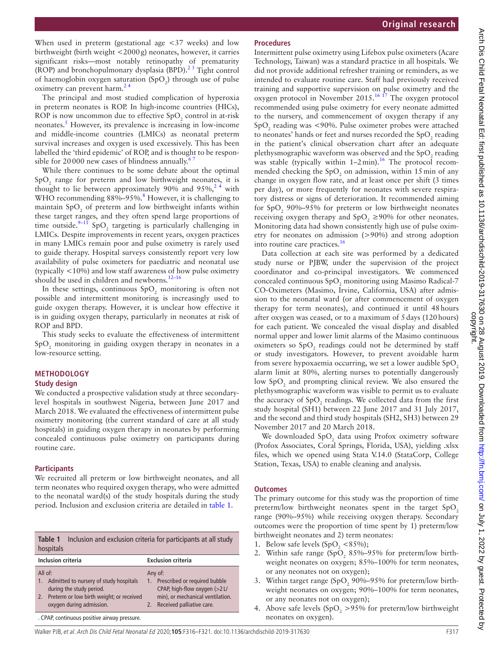When used in preterm (gestational age <37 weeks) and low birthweight (birth weight <2000g) neonates, however, it carries significant risks—most notably retinopathy of prematurity (ROP) and bronchopulmonary dysplasia (BPD). $^{23}$  Tight control of haemoglobin oxygen saturation  $(SpO<sub>2</sub>)$  through use of pulse oximetry can prevent harm.<sup>24</sup>

The principal and most studied complication of hyperoxia in preterm neonates is ROP. In high-income countries (HICs), ROP is now uncommon due to effective  $SpO<sub>2</sub>$  control in at-risk neonates.<sup>[5](#page-4-2)</sup> However, its prevalence is increasing in low-income and middle-income countries (LMICs) as neonatal preterm survival increases and oxygen is used excessively. This has been labelled the 'third epidemic' of ROP, and is thought to be responsible for 20000 new cases of blindness annually.<sup>67</sup>

While there continues to be some debate about the optimal  $SpO<sub>2</sub>$  range for preterm and low birthweight neonates, it is thought to lie between approximately 90% and 95%,  $2^4$  with WHO recommending [8](#page-4-4)8%–95%.<sup>8</sup> However, it is challenging to maintain  $SpO<sub>2</sub>$  of preterm and low birthweight infants within these target ranges, and they often spend large proportions of time outside.<sup>9-11</sup> SpO<sub>2</sub> targeting is particularly challenging in LMICs. Despite improvements in recent years, oxygen practices in many LMICs remain poor and pulse oximetry is rarely used to guide therapy. Hospital surveys consistently report very low availability of pulse oximeters for paediatric and neonatal use (typically <10%) and low staff awareness of how pulse oximetry should be used in children and newborns.<sup>12-16</sup>

In these settings, continuous  $SpO<sub>2</sub>$  monitoring is often not possible and intermittent monitoring is increasingly used to guide oxygen therapy. However, it is unclear how effective it is in guiding oxygen therapy, particularly in neonates at risk of ROP and BPD.

This study seeks to evaluate the effectiveness of intermittent  $SpO<sub>2</sub>$  monitoring in guiding oxygen therapy in neonates in a low-resource setting.

### **Methodology**

#### **Study design**

We conducted a prospective validation study at three secondarylevel hospitals in southwest Nigeria, between June 2017 and March 2018. We evaluated the effectiveness of intermittent pulse oximetry monitoring (the current standard of care at all study hospitals) in guiding oxygen therapy in neonates by performing concealed continuous pulse oximetry on participants during routine care.

#### **Participants**

We recruited all preterm or low birthweight neonates, and all term neonates who required oxygen therapy, who were admitted to the neonatal ward(s) of the study hospitals during the study period. Inclusion and exclusion criteria are detailed in [table](#page-1-0) 1.

<span id="page-1-0"></span>

|           | Table 1 Inclusion and exclusion criteria for participants at all study |
|-----------|------------------------------------------------------------------------|
| hospitals |                                                                        |

| <b>Inclusion criteria</b>                                                                                                                                         | <b>Exclusion criteria</b>                                                                                                                             |  |
|-------------------------------------------------------------------------------------------------------------------------------------------------------------------|-------------------------------------------------------------------------------------------------------------------------------------------------------|--|
| All of:<br>Admitted to nursery of study hospitals<br>1.<br>during the study period.<br>Preterm or low birth weight; or received<br>2.<br>oxygen during admission. | Any of:<br>Prescribed or required bubble<br>1.<br>CPAP, high-flow oxygen (>2L/<br>min), or mechanical ventilation.<br>Received palliative care.<br>2. |  |
| . CPAP, continuous positive airway pressure.                                                                                                                      |                                                                                                                                                       |  |

# **Procedures**

Intermittent pulse oximetry using Lifebox pulse oximeters (Acare Technology, Taiwan) was a standard practice in all hospitals. We did not provide additional refresher training or reminders, as we intended to evaluate routine care. Staff had previously received training and supportive supervision on pulse oximetry and the oxygen protocol in November 2015.[16 17](#page-5-0) The oxygen protocol recommended using pulse oximetry for every neonate admitted to the nursery, and commencement of oxygen therapy if any  $SpO<sub>2</sub>$  reading was <90%. Pulse oximeter probes were attached to neonates' hands or feet and nurses recorded the  $\mathrm{SpO}_2$  reading in the patient's clinical observation chart after an adequate plethysmographic waveform was observed and the  $\text{SpO}_2$  reading was stable (typically within  $1-2$  min).<sup>[16](#page-5-0)</sup> The protocol recommended checking the  $SpO<sub>2</sub>$  on admission, within 15 min of any change in oxygen flow rate, and at least once per shift (3 times per day), or more frequently for neonates with severe respiratory distress or signs of deterioration. It recommended aiming for SpO<sub>2</sub> 90%–95% for preterm or low birthweight neonates receiving oxygen therapy and  $SpO<sub>2</sub> \ge 90\%$  for other neonates. Monitoring data had shown consistently high use of pulse oximetry for neonates on admission (>90%) and strong adoption into routine care practices.<sup>[16](#page-5-0)</sup>

Data collection at each site was performed by a dedicated study nurse or PJBW, under the supervision of the project coordinator and co-principal investigators. We commenced concealed continuous  $\text{SpO}_2$  monitoring using Masimo Radical-7 CO-Oximeters (Masimo, Irvine, California, USA) after admission to the neonatal ward (or after commencement of oxygen therapy for term neonates), and continued it until 48hours after oxygen was ceased, or to a maximum of 5days (120hours) for each patient. We concealed the visual display and disabled normal upper and lower limit alarms of the Masimo continuous oximeters so  $SpO<sub>2</sub>$  readings could not be determined by staff or study investigators. However, to prevent avoidable harm from severe hypoxaemia occurring, we set a lower audible  $SpO<sub>2</sub>$ alarm limit at 80%, alerting nurses to potentially dangerously low  $SpO<sub>2</sub>$  and prompting clinical review. We also ensured the plethysmographic waveform was visible to permit us to evaluate the accuracy of  $SpO_2$  readings. We collected data from the first study hospital (SH1) between 22 June 2017 and 31 July 2017, and the second and third study hospitals (SH2, SH3) between 29 November 2017 and 20 March 2018.

We downloaded  $SpO<sub>2</sub>$  data using Profox oximetry software (Profox Associates, Coral Springs, Florida, USA), yielding .xlsx files, which we opened using Stata V.14.0 (StataCorp, College Station, Texas, USA) to enable cleaning and analysis.

#### **Outcomes**

The primary outcome for this study was the proportion of time preterm/low birthweight neonates spent in the target  $SpO$ , range (90%–95%) while receiving oxygen therapy. Secondary outcomes were the proportion of time spent by 1) preterm/low birthweight neonates and 2) term neonates:

- 1. Below safe levels  $(SpO<sub>2</sub> < 85%)$ ;
- 2. Within safe range  $(SpO_2 85\% 95\%$  for preterm/low birthweight neonates on oxygen; 85%–100% for term neonates, or any neonates not on oxygen);
- 3. Within target range (SpO<sub>2</sub> 90%–95% for preterm/low birthweight neonates on oxygen; 90%–100% for term neonates, or any neonates not on oxygen);
- 4. Above safe levels  $(SpO<sub>2</sub> > 95\%$  for preterm/low birthweight neonates on oxygen).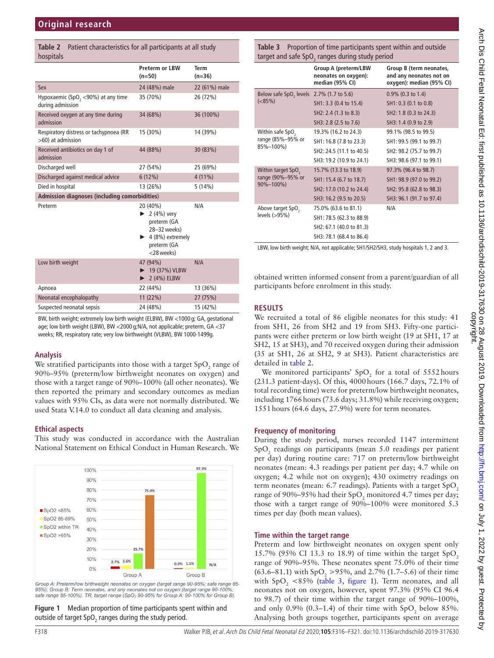<span id="page-2-0"></span>

| Table 2<br>Patient characteristics for all participants at all study<br>hospitals |                                                                                                                                                |                         |  |  |  |
|-----------------------------------------------------------------------------------|------------------------------------------------------------------------------------------------------------------------------------------------|-------------------------|--|--|--|
|                                                                                   | <b>Preterm or LBW</b><br>$(n=50)$                                                                                                              | <b>Term</b><br>$(n=36)$ |  |  |  |
| Sex                                                                               | 24 (48%) male                                                                                                                                  | 22 (61%) male           |  |  |  |
| Hypoxaemic (SpO, <90%) at any time<br>during admission                            | 35 (70%)                                                                                                                                       | 26 (72%)                |  |  |  |
| Received oxygen at any time during<br>admission                                   | 34 (68%)                                                                                                                                       | 36 (100%)               |  |  |  |
| Respiratory distress or tachypnoea (RR<br>>60) at admission                       | 15 (30%)                                                                                                                                       | 14 (39%)                |  |  |  |
| Received antibiotics on day 1 of<br>admission                                     | 44 (88%)                                                                                                                                       | 30 (83%)                |  |  |  |
| Discharged well                                                                   | 27 (54%)                                                                                                                                       | 25 (69%)                |  |  |  |
| Discharged against medical advice                                                 | $6(12\%)$                                                                                                                                      | $4(11\%)$               |  |  |  |
| Died in hospital                                                                  | 13 (26%)                                                                                                                                       | 5(14%)                  |  |  |  |
| Admission diagnoses (including comorbidities)                                     |                                                                                                                                                |                         |  |  |  |
| Preterm                                                                           | 20 (40%)<br>$\triangleright$ 2 (4%) very<br>preterm (GA<br>28-32 weeks)<br>$\blacktriangleright$ 4 (8%) extremely<br>preterm (GA<br><28 weeks) | N/A                     |  |  |  |
| Low birth weight                                                                  | 47 (94%)<br>$\blacktriangleright$ 19 (37%) VLBW<br>$\blacktriangleright$ 2 (4%) ELBW                                                           | N/A                     |  |  |  |
| Apnoea                                                                            | 22 (44%)                                                                                                                                       | 13 (36%)                |  |  |  |
| Neonatal encephalopathy                                                           | 11 (22%)                                                                                                                                       | 27 (75%)                |  |  |  |
| Suspected neonatal sepsis                                                         | 24 (48%)                                                                                                                                       | 15 (42%)                |  |  |  |

BW, birth weight; extremely low birth weight (ELBW), BW <1000 g; GA, gestational age; low birth weight (LBW), BW <2000 g;N/A, not applicable; preterm, GA <37 weeks; RR, respiratory rate; very low birthweight (VLBW), BW 1000-1499g.

#### **Analysis**

We stratified participants into those with a target  $SpO<sub>2</sub>$  range of 90%–95% (preterm/low birthweight neonates on oxygen) and those with a target range of 90%–100% (all other neonates). We then reported the primary and secondary outcomes as median values with 95% CIs, as data were not normally distributed. We used Stata V.14.0 to conduct all data cleaning and analysis.

#### **Ethical aspects**

This study was conducted in accordance with the Australian National Statement on Ethical Conduct in Human Research. We



<span id="page-2-2"></span>Group A: Preterm/low birthweight neonates on oxygen (target range 90-95%; safe range 85-95%); Group B: Term neonates, and any neonates not on oxygen (target range 90-100%;<br>safe range 85-100%). TR, target range (SpO<sub>2</sub> 90-95% for Group A; 90-100% for Group B).

**Figure 1** Median proportion of time participants spent within and outside of target SpO<sub>2</sub> ranges during the study period.

<span id="page-2-1"></span>**Table 3** Proportion of time participants spent within and outside target and safe  $SpO<sub>2</sub>$  ranges during study period

| $\sim$ get and safe spec, fanges aanlig staaj pensa |                                                                        |                                                                                |  |  |  |  |
|-----------------------------------------------------|------------------------------------------------------------------------|--------------------------------------------------------------------------------|--|--|--|--|
|                                                     | <b>Group A (preterm/LBW</b><br>neonates on oxygen):<br>median (95% CI) | Group B (term neonates,<br>and any neonates not on<br>oxygen): median (95% CI) |  |  |  |  |
| Below safe SpO, levels                              | $2.7\%$ (1.7 to 5.6)                                                   | $0.9\%$ (0.3 to 1.4)                                                           |  |  |  |  |
| $(<85\%)$                                           | SH1: 3.3 (0.4 to 15.4)                                                 | SH1: 0.3 (0.1 to 0.8)                                                          |  |  |  |  |
|                                                     | SH2: 2.4 (1.3 to 8.3)                                                  | SH2: 1.8 (0.3 to 24.3)                                                         |  |  |  |  |
|                                                     | SH3: 2.8 (2.5 to 7.6)                                                  | SH3: 1.4 (0.9 to 2.9)                                                          |  |  |  |  |
| Within safe SpO,                                    | 19.3% (16.2 to 24.3)                                                   | 99.1% (98.5 to 99.5)                                                           |  |  |  |  |
| range (85%-95% or<br>85%-100%)                      | SH1: 16.8 (7.8 to 23.3)                                                | SH1: 99.5 (99.1 to 99.7)                                                       |  |  |  |  |
|                                                     | SH2: 24.5 (11.1 to 40.5)                                               | SH2: 98.2 (75.7 to 99.7)                                                       |  |  |  |  |
|                                                     | SH3: 19.2 (10.9 to 24.1)                                               | SH3: 98.6 (97.1 to 99.1)                                                       |  |  |  |  |
| Within target SpO,                                  | 15.7% (13.3 to 18.9)                                                   | 97.3% (96.4 to 98.7)                                                           |  |  |  |  |
| range (90%-95% or<br>90%-100%)                      | SH1: 15.4 (6.7 to 18.7)                                                | SH1: 98.9 (97.0 to 99.2)                                                       |  |  |  |  |
|                                                     | SH2: 17.0 (10.2 to 24.4)                                               | SH2: 95.8 (62.8 to 98.3)                                                       |  |  |  |  |
|                                                     | SH3: 16.2 (9.5 to 20.5)                                                | SH3: 96.1 (91.7 to 97.4)                                                       |  |  |  |  |
| Above target SpO,                                   | 75.0% (63.6 to 81.1)                                                   | N/A                                                                            |  |  |  |  |
| levels (>95%)                                       | SH1: 78.5 (62.3 to 88.9)                                               |                                                                                |  |  |  |  |
|                                                     | SH2: 67.1 (40.0 to 81.3)                                               |                                                                                |  |  |  |  |
|                                                     | SH3: 78.1 (68.4 to 86.4)                                               |                                                                                |  |  |  |  |

LBW, low birth weight; N/A, not applicable; SH1/SH2/SH3, study hospitals 1, 2 and 3.

obtained written informed consent from a parent/guardian of all participants before enrolment in this study.

# **Results**

We recruited a total of 86 eligible neonates for this study: 41 from SH1, 26 from SH2 and 19 from SH3. Fifty-one participants were either preterm or low birth weight (19 at SH1, 17 at SH2, 15 at SH3), and 70 received oxygen during their admission (35 at SH1, 26 at SH2, 9 at SH3). Patient characteristics are detailed in [table](#page-2-0) 2.

We monitored participants'  $SpO<sub>2</sub>$  for a total of 5552 hours (231.3 patient-days). Of this, 4000hours (166.7 days, 72.1% of total recording time) were for preterm/low birthweight neonates, including 1766hours (73.6 days; 31.8%) while receiving oxygen; 1551hours (64.6 days, 27.9%) were for term neonates.

# **Frequency of monitoring**

During the study period, nurses recorded 1147 intermittent  $SpO<sub>2</sub>$  readings on participants (mean 5.0 readings per patient per day) during routine care: 717 on preterm/low birthweight neonates (mean: 4.3 readings per patient per day; 4.7 while on oxygen; 4.2 while not on oxygen); 430 oximetry readings on term neonates (mean: 6.7 readings). Patients with a target  $SpO<sub>2</sub>$ range of 90%–95% had their  $\text{SpO}_2$  monitored 4.7 times per day; those with a target range of 90%–100% were monitored 5.3 times per day (both mean values).

# **Time within the target range**

Preterm and low birthweight neonates on oxygen spent only 15.7% (95% CI 13.3 to 18.9) of time within the target  $SpO<sub>2</sub>$ range of 90%–95%. These neonates spent 75.0% of their time (63.6–81.1) with  $SpO<sub>2</sub> > 95%$ , and 2.7% (1.7–5.6) of their time with  $SpO<sub>2</sub> < 85%$  ([table](#page-2-1) 3, [figure](#page-2-2) 1). Term neonates, and all neonates not on oxygen, however, spent 97.3% (95% CI 96.4 to 98.7) of their time within the target range of 90%–100%, and only 0.9% (0.3–1.4) of their time with  $SpO<sub>2</sub>$  below 85%. Analysing both groups together, participants spent on average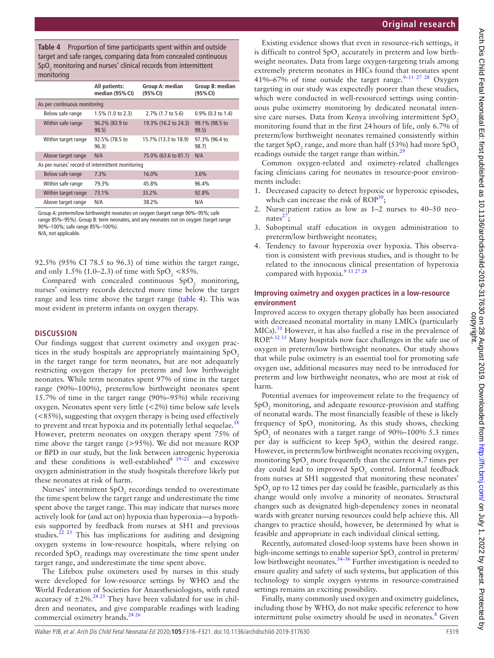<span id="page-3-0"></span>**Table 4** Proportion of time participants spent within and outside target and safe ranges, comparing data from concealed continuous  $\mathsf{SpO}_2$  monitoring and nurses' clinical records from intermittent monitoring

|                                                  | All patients:<br>median (95% CI) | Group A: median<br>(95% CI) | Group B: median<br>(95% CI) |  |  |  |
|--------------------------------------------------|----------------------------------|-----------------------------|-----------------------------|--|--|--|
| As per continuous monitoring                     |                                  |                             |                             |  |  |  |
| Below safe range                                 | 1.5% (1.0 to 2.3)                | 2.7% (1.7 to 5.6)           | $0.9\%$ (0.3 to 1.4)        |  |  |  |
| Within safe range                                | 96.2% (83.9 to<br>98.5)          | 19.3% (16.2 to 24.3)        | 99.1% (98.5 to<br>99.5)     |  |  |  |
| Within target range                              | 92.5% (78.5 to<br>96.3)          | 15.7% (13.3 to 18.9)        | 97.3% (96.4 to<br>98.7)     |  |  |  |
| Above target range                               | N/A                              | 75.0% (63.6 to 81.1)        | N/A                         |  |  |  |
| As per nurses' record of intermittent monitoring |                                  |                             |                             |  |  |  |
| Below safe range                                 | 7.3%                             | 16.0%                       | 3.6%                        |  |  |  |
| Within safe range                                | 79.3%                            | 45.8%                       | 96.4%                       |  |  |  |
| Within target range                              | 73.1%                            | 33.2%                       | 92.8%                       |  |  |  |
| Above target range                               | N/A                              | 38.2%                       | N/A                         |  |  |  |

Group A: preterm/low birthweight neonates on oxygen (target range 90%–95%; safe range 85%–95%). Group B: term neonates, and any neonates not on oxygen (target range 90%–100%; safe range 85%–100%).

N/A, not applicable.

92.5% (95% CI 78.5 to 96.3) of time within the target range, and only 1.5% (1.0–2.3) of time with  $SpO_2$  <85%.

Compared with concealed continuous  $SpO<sub>2</sub>$  monitoring, nurses' oximetry records detected more time below the target range and less time above the target range ([table](#page-3-0) 4). This was most evident in preterm infants on oxygen therapy.

#### **Discussion**

Our findings suggest that current oximetry and oxygen practices in the study hospitals are appropriately maintaining  $SpO<sub>2</sub>$ in the target range for term neonates, but are not adequately restricting oxygen therapy for preterm and low birthweight neonates. While term neonates spent 97% of time in the target range (90%–100%), preterm/low birthweight neonates spent 15.7% of time in the target range (90%–95%) while receiving oxygen. Neonates spent very little (<2%) time below safe levels (<85%), suggesting that oxygen therapy is being used effectively to prevent and treat hypoxia and its potentially lethal sequelae.<sup>[18](#page-5-1)</sup> However, preterm neonates on oxygen therapy spent 75% of time above the target range (>95%). We did not measure ROP or BPD in our study, but the link between iatrogenic hyperoxia and these conditions is well-established $4^{4}$   $19-21$  and excessive oxygen administration in the study hospitals therefore likely put these neonates at risk of harm.

Nurses' intermittent  $\text{SpO}_2$  recordings tended to overestimate the time spent below the target range and underestimate the time spent above the target range. This may indicate that nurses more actively look for (and act on) hypoxia than hyperoxia—a hypothesis supported by feedback from nurses at SH1 and previous studies. $22 \times 23$  This has implications for auditing and designing oxygen systems in low-resource hospitals, where relying on recorded  $\text{SpO}_2$  readings may overestimate the time spent under target range, and underestimate the time spent above.

The Lifebox pulse oximeters used by nurses in this study were developed for low-resource settings by WHO and the World Federation of Societies for Anaesthesiologists, with rated accuracy of  $\pm 2\%$ .<sup>[24 25](#page-5-3)</sup> They have been validated for use in children and neonates, and give comparable readings with leading commercial oximetry brands.<sup>[24 26](#page-5-3)</sup>

#### **Original research**

Existing evidence shows that even in resource-rich settings, it is difficult to control  $\text{SpO}_2$  accurately in preterm and low birthweight neonates. Data from large oxygen-targeting trials among extremely preterm neonates in HICs found that neonates spent 41%–67% of time outside the target range.<sup>9–11 27 28</sup> Oxygen targeting in our study was expectedly poorer than these studies, which were conducted in well-resourced settings using continuous pulse oximetry monitoring by dedicated neonatal intensive care nurses. Data from Kenya involving intermittent SpO2 monitoring found that in the first 24hours of life, only 6.7% of preterm/low birthweight neonates remained consistently within the target SpO<sub>2</sub> range, and more than half (53%) had more SpO<sub>2</sub> readings outside the target range than within.<sup>2</sup>

Common oxygen-related and oximetry-related challenges facing clinicians caring for neonates in resource-poor environments include:

- 1. Decreased capacity to detect hypoxic or hyperoxic episodes, which can increase the risk of  $ROP<sup>30</sup>$ ;
- 2. Nurse:patient ratios as low as 1–2 nurses to 40–50 neonates $^{27}$ ;
- 3. Suboptimal staff education in oxygen administration to preterm/low birthweight neonates;
- 4. Tendency to favour hyperoxia over hypoxia. This observation is consistent with previous studies, and is thought to be related to the innocuous clinical presentation of hyperoxia compared with hypoxia.<sup>9</sup> <sup>11 27</sup> <sup>28</sup>

#### **Improving oximetry and oxygen practices in a low-resource environment**

Improved access to oxygen therapy globally has been associated with decreased neonatal mortality in many LMICs (particularly MICs).<sup>31</sup> However, it has also fuelled a rise in the prevalence of  $ROP<sup>6 32 33</sup>$  Many hospitals now face challenges in the safe use of oxygen in preterm/low birthweight neonates. Our study shows that while pulse oximetry is an essential tool for promoting safe oxygen use, additional measures may need to be introduced for preterm and low birthweight neonates, who are most at risk of harm.

Potential avenues for improvement relate to the frequency of  $SpO<sub>2</sub>$  monitoring, and adequate resource-provision and staffing of neonatal wards. The most financially feasible of these is likely frequency of  $SpO<sub>2</sub>$  monitoring. As this study shows, checking  $SpO<sub>2</sub>$  of neonates with a target range of 90%–100% 5.3 times per day is sufficient to keep  $SpO<sub>2</sub>$  within the desired range. However, in preterm/low birthweight neonates receiving oxygen, monitoring  $\text{SpO}_2$  more frequently than the current 4.7 times per day could lead to improved  $SpO<sub>2</sub>$  control. Informal feedback from nurses at SH1 suggested that monitoring these neonates'  $\text{SpO}_2$  up to 12 times per day could be feasible, particularly as this change would only involve a minority of neonates. Structural changes such as designated high-dependency zones in neonatal wards with greater nursing resources could help achieve this. All changes to practice should, however, be determined by what is feasible and appropriate in each individual clinical setting.

Recently, automated closed-loop systems have been shown in high-income settings to enable superior  $SpO<sub>2</sub>$  control in preterm/ low birthweight neonates.<sup>34–36</sup> Further investigation is needed to ensure quality and safety of such systems, but application of this technology to simple oxygen systems in resource-constrained settings remains an exciting possibility.

Finally, many commonly used oxygen and oximetry guidelines, including those by WHO, do not make specific reference to how intermittent pulse oximetry should be used in neonates.<sup>[8](#page-4-4)</sup> Given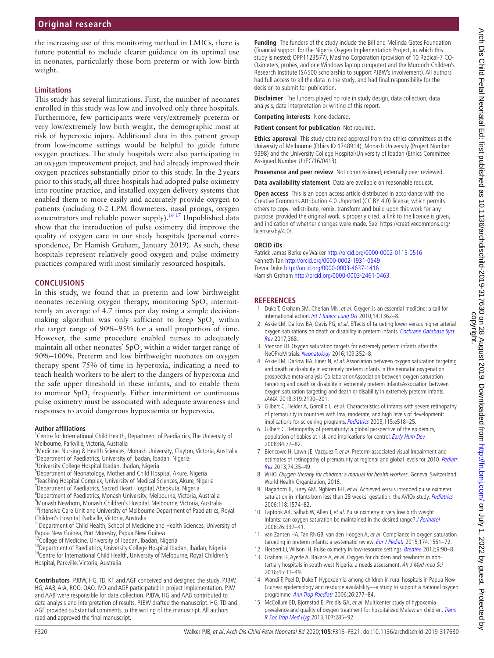्ट

the increasing use of this monitoring method in LMICs, there is future potential to include clearer guidance on its optimal use in neonates, particularly those born preterm or with low birth weight.

## **Limitations**

This study has several limitations. First, the number of neonates enrolled in this study was low and involved only three hospitals. Furthermore, few participants were very/extremely preterm or very low/extremely low birth weight, the demographic most at risk of hyperoxic injury. Additional data in this patient group from low-income settings would be helpful to guide future oxygen practices. The study hospitals were also participating in an oxygen improvement project, and had already improved their oxygen practices substantially prior to this study. In the 2years prior to this study, all three hospitals had adopted pulse oximetry into routine practice, and installed oxygen delivery systems that enabled them to more easily and accurately provide oxygen to patients (including 0-2 LPM flowmeters, nasal prongs, oxygen concentrators and reliable power supply).<sup>[16 17](#page-5-0)</sup> Unpublished data show that the introduction of pulse oximetry did improve the quality of oxygen care in our study hospitals (personal correspondence, Dr Hamish Graham, January 2019). As such, these hospitals represent relatively good oxygen and pulse oximetry practices compared with most similarly resourced hospitals.

#### **Conclusions**

In this study, we found that in preterm and low birthweight neonates receiving oxygen therapy, monitoring  $SpO<sub>2</sub>$  intermittently an average of 4.7 times per day using a simple decisionmaking algorithm was only sufficient to keep  $SpO<sub>2</sub>$  within the target range of 90%–95% for a small proportion of time. However, the same procedure enabled nurses to adequately maintain all other neonates'  $\text{SpO}_2$  within a wider target range of 90%–100%. Preterm and low birthweight neonates on oxygen therapy spent 75% of time in hyperoxia, indicating a need to teach health workers to be alert to the dangers of hyperoxia and the safe upper threshold in these infants, and to enable them to monitor  $SpO<sub>2</sub>$  frequently. Either intermittent or continuous pulse oximetry must be associated with adequate awareness and responses to avoid dangerous hypoxaemia or hyperoxia.

#### **Author affiliations**

<sup>1</sup> Centre for International Child Health, Department of Paediatrics, The University of Melbourne, Parkville, Victoria, Australia

<sup>2</sup>Medicine, Nursing & Health Sciences, Monash University, Clayton, Victoria, Australia <sup>3</sup>Department of Paediatrics, University of Ibadan, Ibadan, Nigeria

- 4 University College Hospital Ibadan, Ibadan, Nigeria
- <sup>5</sup>Department of Neonatology, Mother and Child Hospital, Akure, Nigeria
- <sup>6</sup>Teaching Hospital Complex, University of Medical Sciences, Akure, Nigeria
- <sup>7</sup> Department of Paediatrics, Sacred Heart Hospital, Abeokuta, Nigeria

8 Department of Paediatrics, Monash University, Melbourne, Victoria, Australia

9 Monash Newborn, Monash Children's Hospital, Melbourne, Victoria, Australia <sup>10</sup>Intensive Care Unit and University of Melbourne Department of Paediatrics, Royal Children's Hospital, Parkville, Victoria, Australia

<sup>11</sup>Department of Child Health, School of Medicine and Health Sciences, University of Papua New Guinea, Port Moresby, Papua New Guinea

<sup>12</sup>College of Medicine, University of Ibadan, Ibadan, Nigeria

<sup>13</sup>Department of Paediatrics, University College Hospital Ibadan, Ibadan, Nigeria <sup>14</sup>Centre for International Child Health, University of Melbourne, Royal Children's Hospital, Parkville, Victoria, Australia

**Contributors** PJBW, HG, TD, KT and AGF conceived and designed the study. PJBW, HG, AAB, AIA, ROO, OAO, IVO and AGF participated in project implementation. PJW and AAB were responsible for data collection. PJBW, HG and AAB contributed to data analysis and interpretation of results. PJBW drafted the manuscript. HG, TD and AGF provided substantial comments to the writing of the manuscript. All authors read and approved the final manuscript.

**Funding** The funders of the study include the Bill and Melinda Gates Foundation (financial support for the Nigeria Oxygen Implementation Project, in which this study is nested; OPP1123577), Masimo Corporation (provision of 10 Radical-7 CO-Oximeters, probes, and one Windows laptop computer) and the Murdoch Children's Research Institute (\$A500 scholarship to support PJBW's involvement). All authors had full access to all the data in the study, and had final responsibility for the decision to submit for publication.

**Disclaimer** The funders played no role in study design, data collection, data analysis, data interpretation or writing of this report.

**Competing interests** None declared.

**Patient consent for publication** Not required.

**Ethics approval** This study obtained approval from the ethics committees at the University of Melbourne (Ethics ID 1748914), Monash University (Project Number 9398) and the University College Hospital/University of Ibadan (Ethics Committee Assigned Number UI/EC/16/0413).

**Provenance and peer review** Not commissioned; externally peer reviewed.

**Data availability statement** Data are available on reasonable request.

**Open access** This is an open access article distributed in accordance with the Creative Commons Attribution 4.0 Unported (CC BY 4.0) license, which permits others to copy, redistribute, remix, transform and build upon this work for any purpose, provided the original work is properly cited, a link to the licence is given, and indication of whether changes were made. See: [https://creativecommons.org/](https://creativecommons.org/licenses/by/4.0/) [licenses/by/4.0/.](https://creativecommons.org/licenses/by/4.0/)

#### **ORCID iDs**

Patrick James Berkeley Walker <http://orcid.org/0000-0002-0115-0516> Kenneth Tan<http://orcid.org/0000-0002-1931-0549> Trevor Duke <http://orcid.org/0000-0003-4637-1416> Hamish Graham<http://orcid.org/0000-0003-2461-0463>

#### **References**

- <span id="page-4-0"></span>1 Duke T, Graham SM, Cherian MN, et al. Oxygen is an essential medicine: a call for international action. *[Int J Tuberc Lung Dis](http://www.ncbi.nlm.nih.gov/pubmed/20937173)* 2010;14:1362-8.
- <span id="page-4-1"></span>2 Askie LM, Darlow BA, Davis PG, et al. Effects of targeting lower versus higher arterial oxygen saturations on death or disability in preterm infants. Cochrane Database Syst [Rev](http://dx.doi.org/10.1002/14651858.CD011190.pub2) 2017;368.
- 3 Stenson BJ. Oxygen saturation targets for extremely preterm infants after the NeOProM trials. [Neonatology](http://dx.doi.org/10.1159/000444913) 2016;109:352-8.
- <span id="page-4-7"></span>4 Askie LM, Darlow BA, Finer N, et al. Association between oxygen saturation targeting and death or disability in extremely preterm infants in the neonatal oxygenation prospective meta-analysis CollaborationAssociation between oxygen saturation targeting and death or disability in extremely preterm InfantsAssociation between oxygen saturation targeting and death or disability in extremely preterm infants. JAMA 2018;319:2190–201.
- <span id="page-4-2"></span>5 Gilbert C, Fielder A, Gordillo L, et al. Characteristics of infants with severe retinopathy of prematurity in countries with low, moderate, and high levels of development: implications for screening programs. [Pediatrics](http://dx.doi.org/10.1542/peds.2004-1180) 2005;115:e518-25.
- <span id="page-4-3"></span>6 Gilbert C. Retinopathy of prematurity: a global perspective of the epidemics, population of babies at risk and implications for control. [Early Hum Dev](http://dx.doi.org/10.1016/j.earlhumdev.2007.11.009) 2008;84:77–82.
- 7 Blencowe H, Lawn JE, Vazquez T, et al. Preterm-associated visual impairment and estimates of retinopathy of prematurity at regional and global levels for 2010. Pediatr [Res](http://dx.doi.org/10.1038/pr.2013.205) 2013;74:35–49.
- <span id="page-4-4"></span>8 WHO. Oxygen therapy for children: a manual for health workers. Geneva, Switzerland: World Health Organization, 2016.
- <span id="page-4-5"></span>9 Hagadorn JI, Furey AM, Nghiem T-H, et al. Achieved versus intended pulse oximeter saturation in infants born less than 28 weeks' gestation: the AVIOx study. [Pediatrics](http://dx.doi.org/10.1542/peds.2005-0413) 2006;118:1574–82.
- 10 Laptook AR, Salhab W, Allen J, et al. Pulse oximetry in very low birth weight infants: can oxygen saturation be maintained in the desired range? [J Perinatol](http://dx.doi.org/10.1038/sj.jp.7211500) 2006;26:337–41.
- 11 van Zanten HA, Tan RNGB, van den Hoogen A, et al. Compliance in oxygen saturation targeting in preterm infants: a systematic review. [Eur J Pediatr](http://dx.doi.org/10.1007/s00431-015-2643-0) 2015;174:1561-72.
- <span id="page-4-6"></span>12 Herbert LJ, Wilson IH. Pulse oximetry in low-resource settings. [Breathe](http://dx.doi.org/10.1183/20734735.038612) 2012;9:90-8.
- 13 Graham H, Ayede A, Bakare A, et al. Oxygen for children and newborns in nontertiary hospitals in south-west Nigeria: a needs assessment. Afr J Med med Sci 2016;45:31–49.
- 14 Wandi F, Peel D, Duke T. Hypoxaemia among children in rural hospitals in Papua New Guinea: epidemiology and resource availability—a study to support a national oxygen programme. [Ann Trop Paediatr](http://dx.doi.org/10.1179/146532806X152791) 2006;26:277–84.
- 15 McCollum ED, Bjornstad E, Preidis GA, et al. Multicenter study of hypoxemia prevalence and quality of oxygen treatment for hospitalized Malawian children. Trans [R Soc Trop Med Hyg](http://dx.doi.org/10.1093/trstmh/trt017) 2013;107:285–92.